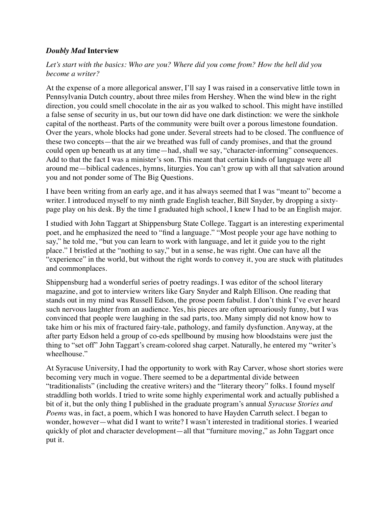## *Doubly Mad* **Interview**

*Let's start with the basics: Who are you? Where did you come from? How the hell did you become a writer?*

At the expense of a more allegorical answer, I'll say I was raised in a conservative little town in Pennsylvania Dutch country, about three miles from Hershey. When the wind blew in the right direction, you could smell chocolate in the air as you walked to school. This might have instilled a false sense of security in us, but our town did have one dark distinction: we were the sinkhole capital of the northeast. Parts of the community were built over a porous limestone foundation. Over the years, whole blocks had gone under. Several streets had to be closed. The confluence of these two concepts—that the air we breathed was full of candy promises, and that the ground could open up beneath us at any time—had, shall we say, "character-informing" consequences. Add to that the fact I was a minister's son. This meant that certain kinds of language were all around me—biblical cadences, hymns, liturgies. You can't grow up with all that salvation around you and not ponder some of The Big Questions.

I have been writing from an early age, and it has always seemed that I was "meant to" become a writer. I introduced myself to my ninth grade English teacher, Bill Snyder, by dropping a sixtypage play on his desk. By the time I graduated high school, I knew I had to be an English major.

I studied with John Taggart at Shippensburg State College. Taggart is an interesting experimental poet, and he emphasized the need to "find a language." "Most people your age have nothing to say," he told me, "but you can learn to work with language, and let it guide you to the right place." I bristled at the "nothing to say," but in a sense, he was right. One can have all the "experience" in the world, but without the right words to convey it, you are stuck with platitudes and commonplaces.

Shippensburg had a wonderful series of poetry readings. I was editor of the school literary magazine, and got to interview writers like Gary Snyder and Ralph Ellison. One reading that stands out in my mind was Russell Edson, the prose poem fabulist. I don't think I've ever heard such nervous laughter from an audience. Yes, his pieces are often uproariously funny, but I was convinced that people were laughing in the sad parts, too. Many simply did not know how to take him or his mix of fractured fairy-tale, pathology, and family dysfunction. Anyway, at the after party Edson held a group of co-eds spellbound by musing how bloodstains were just the thing to "set off" John Taggart's cream-colored shag carpet. Naturally, he entered my "writer's wheelhouse."

At Syracuse University, I had the opportunity to work with Ray Carver, whose short stories were becoming very much in vogue. There seemed to be a departmental divide between "traditionalists" (including the creative writers) and the "literary theory" folks. I found myself straddling both worlds. I tried to write some highly experimental work and actually published a bit of it, but the only thing I published in the graduate program's annual *Syracuse Stories and Poems* was, in fact, a poem, which I was honored to have Hayden Carruth select. I began to wonder, however—what did I want to write? I wasn't interested in traditional stories. I wearied quickly of plot and character development—all that "furniture moving," as John Taggart once put it.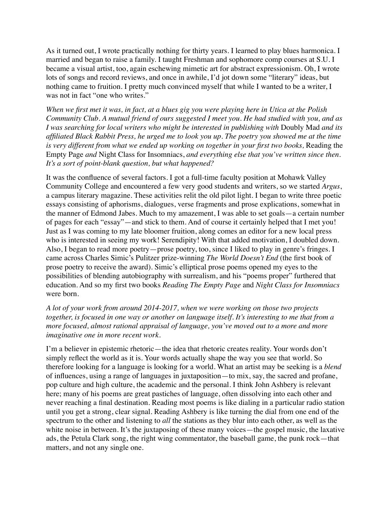As it turned out, I wrote practically nothing for thirty years. I learned to play blues harmonica. I married and began to raise a family. I taught Freshman and sophomore comp courses at S.U. I became a visual artist, too, again eschewing mimetic art for abstract expressionism. Oh, I wrote lots of songs and record reviews, and once in awhile, I'd jot down some "literary" ideas, but nothing came to fruition. I pretty much convinced myself that while I wanted to be a writer, I was not in fact "one who writes."

*When we first met it was, in fact, at a blues gig you were playing here in Utica at the Polish Community Club. A mutual friend of ours suggested I meet you. He had studied with you, and as I was searching for local writers who might be interested in publishing with* Doubly Mad *and its affiliated Black Rabbit Press, he urged me to look you up. The poetry you showed me at the time is very different from what we ended up working on together in your first two books,* Reading the Empty Page *and* Night Class for Insomniacs, *and everything else that you've written since then. It's a sort of point-blank question, but what happened?*

It was the confluence of several factors. I got a full-time faculty position at Mohawk Valley Community College and encountered a few very good students and writers, so we started *Argus*, a campus literary magazine. These activities relit the old pilot light. I began to write three poetic essays consisting of aphorisms, dialogues, verse fragments and prose explications, somewhat in the manner of Edmond Jabes. Much to my amazement, I was able to set goals—a certain number of pages for each "essay"—and stick to them. And of course it certainly helped that I met you! Just as I was coming to my late bloomer fruition, along comes an editor for a new local press who is interested in seeing my work! Serendipity! With that added motivation, I doubled down. Also, I began to read more poetry—prose poetry, too, since I liked to play in genre's fringes. I came across Charles Simic's Pulitzer prize-winning *The World Doesn't End* (the first book of prose poetry to receive the award). Simic's elliptical prose poems opened my eyes to the possibilities of blending autobiography with surrealism, and his "poems proper" furthered that education. And so my first two books *Reading The Empty Page* and *Night Class for Insomniacs*  were born.

*A lot of your work from around 2014-2017, when we were working on those two projects together, is focused in one way or another on language itself. It's interesting to me that from a more focused, almost rational appraisal of language, you've moved out to a more and more imaginative one in more recent work.* 

I'm a believer in epistemic rhetoric—the idea that rhetoric creates reality. Your words don't simply reflect the world as it is. Your words actually shape the way you see that world. So therefore looking for a language is looking for a world. What an artist may be seeking is a *blend* of influences, using a range of languages in juxtaposition—to mix, say, the sacred and profane, pop culture and high culture, the academic and the personal. I think John Ashbery is relevant here; many of his poems are great pastiches of language, often dissolving into each other and never reaching a final destination. Reading most poems is like dialing in a particular radio station until you get a strong, clear signal. Reading Ashbery is like turning the dial from one end of the spectrum to the other and listening to *all* the stations as they blur into each other, as well as the white noise in between. It's the juxtaposing of these many voices—the gospel music, the laxative ads, the Petula Clark song, the right wing commentator, the baseball game, the punk rock—that matters, and not any single one.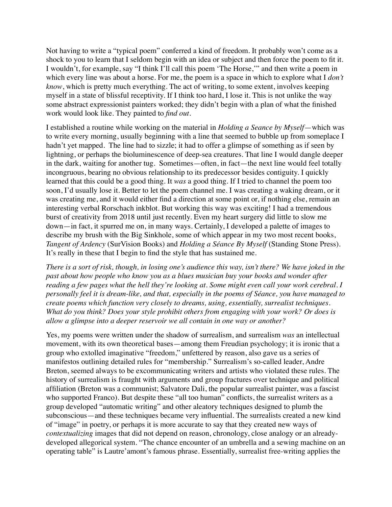Not having to write a "typical poem" conferred a kind of freedom. It probably won't come as a shock to you to learn that I seldom begin with an idea or subject and then force the poem to fit it. I wouldn't, for example, say "I think I'll call this poem 'The Horse,'" and then write a poem in which every line was about a horse. For me, the poem is a space in which to explore what I *don't know*, which is pretty much everything. The act of writing, to some extent, involves keeping myself in a state of blissful receptivity. If I think too hard, I lose it. This is not unlike the way some abstract expressionist painters worked; they didn't begin with a plan of what the finished work would look like. They painted to *find out*.

I established a routine while working on the material in *Holding a Seance by Myself*—which was to write every morning, usually beginning with a line that seemed to bubble up from someplace I hadn't yet mapped. The line had to sizzle; it had to offer a glimpse of something as if seen by lightning, or perhaps the bioluminescence of deep-sea creatures. That line I would dangle deeper in the dark, waiting for another tug. Sometimes—often, in fact—the next line would feel totally incongruous, bearing no obvious relationship to its predecessor besides contiguity. I quickly learned that this could be a good thing. It *was* a good thing. If I tried to channel the poem too soon, I'd usually lose it. Better to let the poem channel me. I was creating a waking dream, or it was creating me, and it would either find a direction at some point or, if nothing else, remain an interesting verbal Rorschach inkblot. But working this way was exciting! I had a tremendous burst of creativity from 2018 until just recently. Even my heart surgery did little to slow me down—in fact, it spurred me on, in many ways. Certainly, I developed a palette of images to describe my brush with the Big Sinkhole, some of which appear in my two most recent books, *Tangent of Ardency* (SurVision Books) and *Holding a Séance By Myself* (Standing Stone Press). It's really in these that I begin to find the style that has sustained me.

*There is a sort of risk, though, in losing one's audience this way, isn't there? We have joked in the past about how people who know you as a blues musician buy your books and wonder after reading a few pages what the hell they're looking at. Some might even call your work cerebral. I personally feel it is dream-like, and that, especially in the poems of Séance, you have managed to create poems which function very closely to dreams, using, essentially, surrealist techniques. What do you think? Does your style prohibit others from engaging with your work? Or does is allow a glimpse into a deeper reservoir we all contain in one way or another?*

Yes, my poems were written under the shadow of surrealism, and surrealism *was* an intellectual movement, with its own theoretical bases—among them Freudian psychology; it is ironic that a group who extolled imaginative "freedom," unfettered by reason, also gave us a series of manifestos outlining detailed rules for "membership." Surrealism's so-called leader, Andre Breton, seemed always to be excommunicating writers and artists who violated these rules. The history of surrealism is fraught with arguments and group fractures over technique and political affiliation (Breton was a communist; Salvatore Dali, the popular surrealist painter, was a fascist who supported Franco). But despite these "all too human" conflicts, the surrealist writers as a group developed "automatic writing" and other aleatory techniques designed to plumb the subconscious—and these techniques became very influential. The surrealists created a new kind of "image" in poetry, or perhaps it is more accurate to say that they created new ways of *contextualizing* images that did not depend on reason, chronology, close analogy or an alreadydeveloped allegorical system. "The chance encounter of an umbrella and a sewing machine on an operating table" is Lautre'amont's famous phrase. Essentially, surrealist free-writing applies the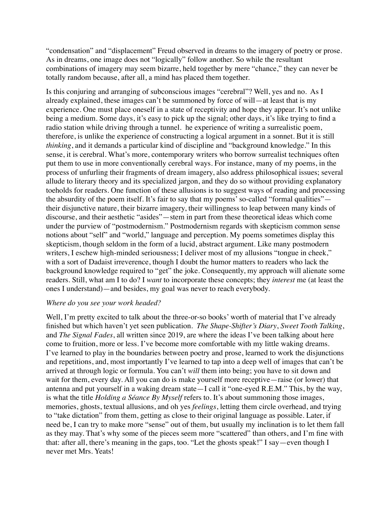"condensation" and "displacement" Freud observed in dreams to the imagery of poetry or prose. As in dreams, one image does not "logically" follow another. So while the resultant combinations of imagery may seem bizarre, held together by mere "chance," they can never be totally random because, after all, a mind has placed them together.

Is this conjuring and arranging of subconscious images "cerebral"? Well, yes and no. As I already explained, these images can't be summoned by force of will—at least that is my experience. One must place oneself in a state of receptivity and hope they appear. It's not unlike being a medium. Some days, it's easy to pick up the signal; other days, it's like trying to find a radio station while driving through a tunnel. he experience of writing a surrealistic poem, therefore, is unlike the experience of constructing a logical argument in a sonnet. But it is still *thinking*, and it demands a particular kind of discipline and "background knowledge." In this sense, it is cerebral. What's more, contemporary writers who borrow surrealist techniques often put them to use in more conventionally cerebral ways. For instance, many of my poems, in the process of unfurling their fragments of dream imagery, also address philosophical issues; several allude to literary theory and its specialized jargon, and they do so without providing explanatory toeholds for readers. One function of these allusions is to suggest ways of reading and processing the absurdity of the poem itself. It's fair to say that my poems' so-called "formal qualities" their disjunctive nature, their bizarre imagery, their willingness to leap between many kinds of discourse, and their aesthetic "asides"—stem in part from these theoretical ideas which come under the purview of "postmodernism." Postmodernism regards with skepticism common sense notions about "self" and "world," language and perception. My poems sometimes display this skepticism, though seldom in the form of a lucid, abstract argument. Like many postmodern writers, I eschew high-minded seriousness; I deliver most of my allusions "tongue in cheek," with a sort of Dadaist irreverence, though I doubt the humor matters to readers who lack the background knowledge required to "get" the joke. Consequently, my approach will alienate some readers. Still, what am I to do? I *want* to incorporate these concepts; they *interest* me (at least the ones I understand)—and besides, my goal was never to reach everybody.

## *Where do you see your work headed?*

Well, I'm pretty excited to talk about the three-or-so books' worth of material that I've already finished but which haven't yet seen publication. *The Shape-Shifter's Diary*, *Sweet Tooth Talking*, and *The Signal Fades*, all written since 2019, are where the ideas I've been talking about here come to fruition, more or less. I've become more comfortable with my little waking dreams. I've learned to play in the boundaries between poetry and prose, learned to work the disjunctions and repetitions, and, most importantly I've learned to tap into a deep well of images that can't be arrived at through logic or formula. You can't *will* them into being; you have to sit down and wait for them, every day. All you can do is make yourself more receptive—raise (or lower) that antenna and put yourself in a waking dream state—I call it "one-eyed R.E.M." This, by the way, is what the title *Holding a Séance By Myself* refers to. It's about summoning those images, memories, ghosts, textual allusions, and oh yes *feelings*, letting them circle overhead, and trying to "take dictation" from them, getting as close to their original language as possible. Later, if need be, I can try to make more "sense" out of them, but usually my inclination is to let them fall as they may. That's why some of the pieces seem more "scattered" than others, and I'm fine with that: after all, there's meaning in the gaps, too. "Let the ghosts speak!" I say—even though I never met Mrs. Yeats!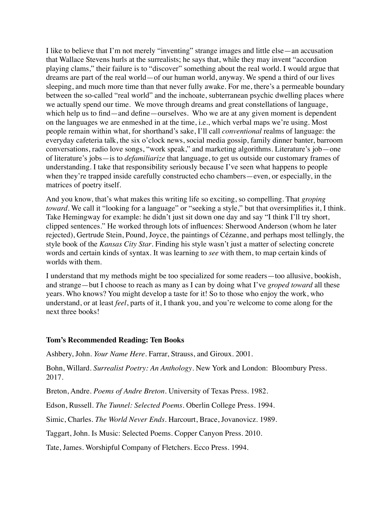I like to believe that I'm not merely "inventing" strange images and little else—an accusation that Wallace Stevens hurls at the surrealists; he says that, while they may invent "accordion playing clams," their failure is to "discover" something about the real world. I would argue that dreams are part of the real world—of our human world, anyway. We spend a third of our lives sleeping, and much more time than that never fully awake. For me, there's a permeable boundary between the so-called "real world" and the inchoate, subterranean psychic dwelling places where we actually spend our time. We move through dreams and great constellations of language, which help us to find—and define—ourselves. Who we are at any given moment is dependent on the languages we are enmeshed in at the time, i.e., which verbal maps we're using. Most people remain within what, for shorthand's sake, I'll call *conventional* realms of language: the everyday cafeteria talk, the six o'clock news, social media gossip, family dinner banter, barroom conversations, radio love songs, "work speak," and marketing algorithms. Literature's job—one of literature's jobs—is to *defamiliarize* that language, to get us outside our customary frames of understanding. I take that responsibility seriously because I've seen what happens to people when they're trapped inside carefully constructed echo chambers—even, or especially, in the matrices of poetry itself.

And you know, that's what makes this writing life so exciting, so compelling. That *groping toward*. We call it "looking for a language" or "seeking a style," but that oversimplifies it, I think. Take Hemingway for example: he didn't just sit down one day and say "I think I'll try short, clipped sentences." He worked through lots of influences: Sherwood Anderson (whom he later rejected), Gertrude Stein, Pound, Joyce, the paintings of Cézanne, and perhaps most tellingly, the style book of the *Kansas City Star*. Finding his style wasn't just a matter of selecting concrete words and certain kinds of syntax. It was learning to *see* with them, to map certain kinds of worlds with them.

I understand that my methods might be too specialized for some readers—too allusive, bookish, and strange—but I choose to reach as many as I can by doing what I've *groped toward* all these years. Who knows? You might develop a taste for it! So to those who enjoy the work, who understand, or at least *feel*, parts of it, I thank you, and you're welcome to come along for the next three books!

## **Tom's Recommended Reading: Ten Books**

Ashbery, John. *Your Name Here*. Farrar, Strauss, and Giroux. 2001.

Bohn, Willard. *Surrealist Poetry: An Anthology*. New York and London: Bloombury Press. 2017.

Breton, Andre. *Poems of Andre Breton*. University of Texas Press. 1982.

Edson, Russell. *The Tunnel: Selected Poems*. Oberlin College Press. 1994.

Simic, Charles. *The World Never Ends*. Harcourt, Brace, Jovanovicz. 1989.

Taggart, John. Is Music: Selected Poems. Copper Canyon Press. 2010.

Tate, James. Worshipful Company of Fletchers. Ecco Press. 1994.